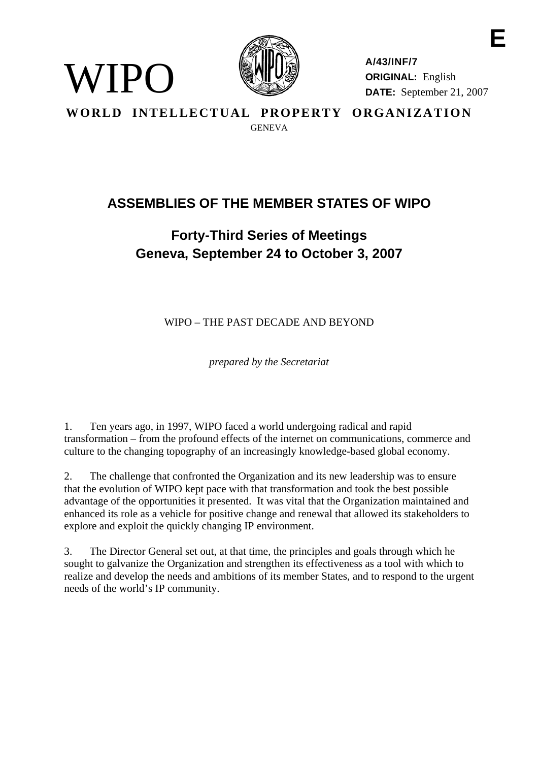

WIPO

**A/43/INF/7 ORIGINAL:** English **DATE:** September 21, 2007

**E** 

**WORLD INTELLECTUAL PROPERTY ORGANIZATION GENEVA** 

## **ASSEMBLIES OF THE MEMBER STATES OF WIPO**

# **Forty-Third Series of Meetings Geneva, September 24 to October 3, 2007**

WIPO – THE PAST DECADE AND BEYOND

*prepared by the Secretariat* 

1. Ten years ago, in 1997, WIPO faced a world undergoing radical and rapid transformation – from the profound effects of the internet on communications, commerce and culture to the changing topography of an increasingly knowledge-based global economy.

2. The challenge that confronted the Organization and its new leadership was to ensure that the evolution of WIPO kept pace with that transformation and took the best possible advantage of the opportunities it presented. It was vital that the Organization maintained and enhanced its role as a vehicle for positive change and renewal that allowed its stakeholders to explore and exploit the quickly changing IP environment.

3. The Director General set out, at that time, the principles and goals through which he sought to galvanize the Organization and strengthen its effectiveness as a tool with which to realize and develop the needs and ambitions of its member States, and to respond to the urgent needs of the world's IP community.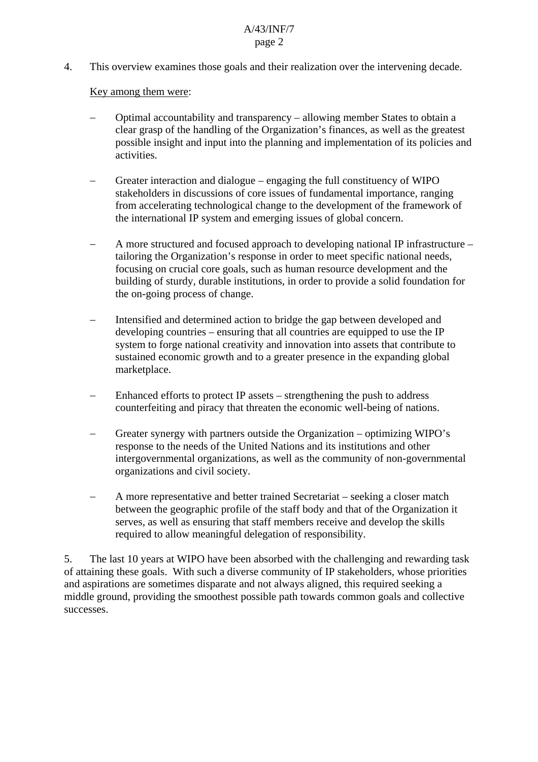4. This overview examines those goals and their realization over the intervening decade.

### Key among them were:

- − Optimal accountability and transparency allowing member States to obtain a clear grasp of the handling of the Organization's finances, as well as the greatest possible insight and input into the planning and implementation of its policies and activities.
- Greater interaction and dialogue engaging the full constituency of WIPO stakeholders in discussions of core issues of fundamental importance, ranging from accelerating technological change to the development of the framework of the international IP system and emerging issues of global concern.
- − A more structured and focused approach to developing national IP infrastructure tailoring the Organization's response in order to meet specific national needs, focusing on crucial core goals, such as human resource development and the building of sturdy, durable institutions, in order to provide a solid foundation for the on-going process of change.
- Intensified and determined action to bridge the gap between developed and developing countries – ensuring that all countries are equipped to use the IP system to forge national creativity and innovation into assets that contribute to sustained economic growth and to a greater presence in the expanding global marketplace.
- Enhanced efforts to protect IP assets strengthening the push to address counterfeiting and piracy that threaten the economic well-being of nations.
- − Greater synergy with partners outside the Organization optimizing WIPO's response to the needs of the United Nations and its institutions and other intergovernmental organizations, as well as the community of non-governmental organizations and civil society.
- − A more representative and better trained Secretariat seeking a closer match between the geographic profile of the staff body and that of the Organization it serves, as well as ensuring that staff members receive and develop the skills required to allow meaningful delegation of responsibility.

5. The last 10 years at WIPO have been absorbed with the challenging and rewarding task of attaining these goals. With such a diverse community of IP stakeholders, whose priorities and aspirations are sometimes disparate and not always aligned, this required seeking a middle ground, providing the smoothest possible path towards common goals and collective successes.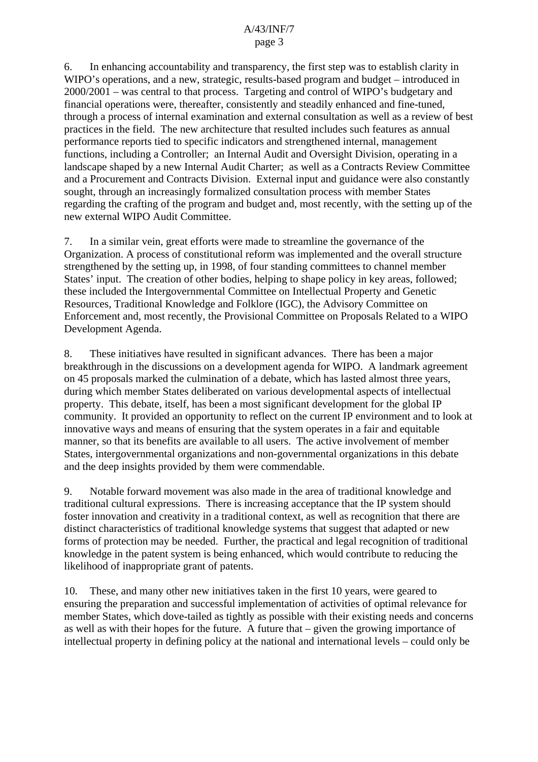6. In enhancing accountability and transparency, the first step was to establish clarity in WIPO's operations, and a new, strategic, results-based program and budget – introduced in 2000/2001 – was central to that process. Targeting and control of WIPO's budgetary and financial operations were, thereafter, consistently and steadily enhanced and fine-tuned, through a process of internal examination and external consultation as well as a review of best practices in the field. The new architecture that resulted includes such features as annual performance reports tied to specific indicators and strengthened internal, management functions, including a Controller; an Internal Audit and Oversight Division, operating in a landscape shaped by a new Internal Audit Charter; as well as a Contracts Review Committee and a Procurement and Contracts Division. External input and guidance were also constantly sought, through an increasingly formalized consultation process with member States regarding the crafting of the program and budget and, most recently, with the setting up of the new external WIPO Audit Committee.

7. In a similar vein, great efforts were made to streamline the governance of the Organization. A process of constitutional reform was implemented and the overall structure strengthened by the setting up, in 1998, of four standing committees to channel member States' input. The creation of other bodies, helping to shape policy in key areas, followed; these included the Intergovernmental Committee on Intellectual Property and Genetic Resources, Traditional Knowledge and Folklore (IGC), the Advisory Committee on Enforcement and, most recently, the Provisional Committee on Proposals Related to a WIPO Development Agenda.

8. These initiatives have resulted in significant advances. There has been a major breakthrough in the discussions on a development agenda for WIPO. A landmark agreement on 45 proposals marked the culmination of a debate, which has lasted almost three years, during which member States deliberated on various developmental aspects of intellectual property. This debate, itself, has been a most significant development for the global IP community. It provided an opportunity to reflect on the current IP environment and to look at innovative ways and means of ensuring that the system operates in a fair and equitable manner, so that its benefits are available to all users. The active involvement of member States, intergovernmental organizations and non-governmental organizations in this debate and the deep insights provided by them were commendable.

9. Notable forward movement was also made in the area of traditional knowledge and traditional cultural expressions. There is increasing acceptance that the IP system should foster innovation and creativity in a traditional context, as well as recognition that there are distinct characteristics of traditional knowledge systems that suggest that adapted or new forms of protection may be needed. Further, the practical and legal recognition of traditional knowledge in the patent system is being enhanced, which would contribute to reducing the likelihood of inappropriate grant of patents.

10. These, and many other new initiatives taken in the first 10 years, were geared to ensuring the preparation and successful implementation of activities of optimal relevance for member States, which dove-tailed as tightly as possible with their existing needs and concerns as well as with their hopes for the future. A future that – given the growing importance of intellectual property in defining policy at the national and international levels – could only be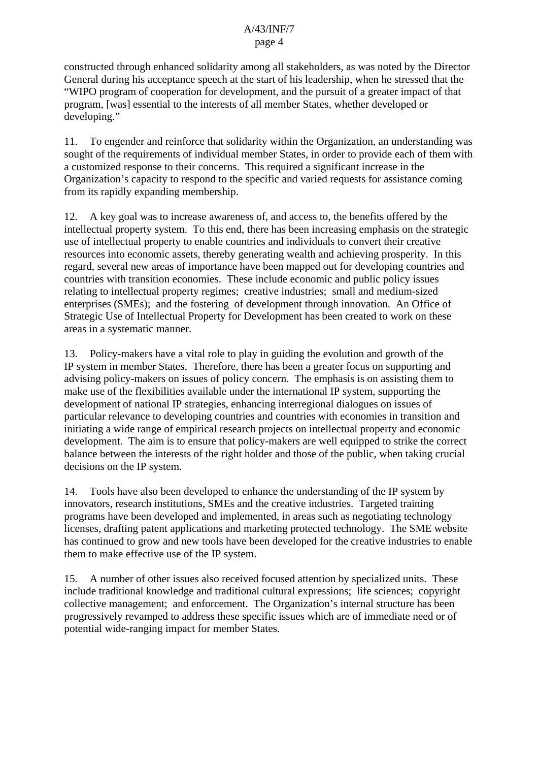constructed through enhanced solidarity among all stakeholders, as was noted by the Director General during his acceptance speech at the start of his leadership, when he stressed that the "WIPO program of cooperation for development, and the pursuit of a greater impact of that program, [was] essential to the interests of all member States, whether developed or developing."

11. To engender and reinforce that solidarity within the Organization, an understanding was sought of the requirements of individual member States, in order to provide each of them with a customized response to their concerns. This required a significant increase in the Organization's capacity to respond to the specific and varied requests for assistance coming from its rapidly expanding membership.

12. A key goal was to increase awareness of, and access to, the benefits offered by the intellectual property system. To this end, there has been increasing emphasis on the strategic use of intellectual property to enable countries and individuals to convert their creative resources into economic assets, thereby generating wealth and achieving prosperity. In this regard, several new areas of importance have been mapped out for developing countries and countries with transition economies. These include economic and public policy issues relating to intellectual property regimes; creative industries; small and medium-sized enterprises (SMEs); and the fostering of development through innovation. An Office of Strategic Use of Intellectual Property for Development has been created to work on these areas in a systematic manner.

13. Policy-makers have a vital role to play in guiding the evolution and growth of the IP system in member States. Therefore, there has been a greater focus on supporting and advising policy-makers on issues of policy concern. The emphasis is on assisting them to make use of the flexibilities available under the international IP system, supporting the development of national IP strategies, enhancing interregional dialogues on issues of particular relevance to developing countries and countries with economies in transition and initiating a wide range of empirical research projects on intellectual property and economic development. The aim is to ensure that policy-makers are well equipped to strike the correct balance between the interests of the right holder and those of the public, when taking crucial decisions on the IP system.

14. Tools have also been developed to enhance the understanding of the IP system by innovators, research institutions, SMEs and the creative industries. Targeted training programs have been developed and implemented, in areas such as negotiating technology licenses, drafting patent applications and marketing protected technology. The SME website has continued to grow and new tools have been developed for the creative industries to enable them to make effective use of the IP system.

15. A number of other issues also received focused attention by specialized units. These include traditional knowledge and traditional cultural expressions; life sciences; copyright collective management; and enforcement. The Organization's internal structure has been progressively revamped to address these specific issues which are of immediate need or of potential wide-ranging impact for member States.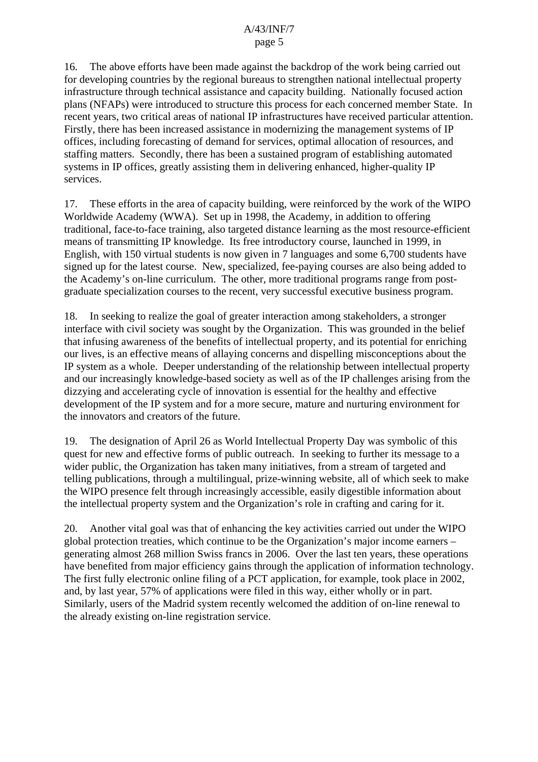16. The above efforts have been made against the backdrop of the work being carried out for developing countries by the regional bureaus to strengthen national intellectual property infrastructure through technical assistance and capacity building. Nationally focused action plans (NFAPs) were introduced to structure this process for each concerned member State. In recent years, two critical areas of national IP infrastructures have received particular attention. Firstly, there has been increased assistance in modernizing the management systems of IP offices, including forecasting of demand for services, optimal allocation of resources, and staffing matters. Secondly, there has been a sustained program of establishing automated systems in IP offices, greatly assisting them in delivering enhanced, higher-quality IP services.

17. These efforts in the area of capacity building, were reinforced by the work of the WIPO Worldwide Academy (WWA). Set up in 1998, the Academy, in addition to offering traditional, face-to-face training, also targeted distance learning as the most resource-efficient means of transmitting IP knowledge. Its free introductory course, launched in 1999, in English, with 150 virtual students is now given in 7 languages and some 6,700 students have signed up for the latest course. New, specialized, fee-paying courses are also being added to the Academy's on-line curriculum. The other, more traditional programs range from postgraduate specialization courses to the recent, very successful executive business program.

18. In seeking to realize the goal of greater interaction among stakeholders, a stronger interface with civil society was sought by the Organization. This was grounded in the belief that infusing awareness of the benefits of intellectual property, and its potential for enriching our lives, is an effective means of allaying concerns and dispelling misconceptions about the IP system as a whole. Deeper understanding of the relationship between intellectual property and our increasingly knowledge-based society as well as of the IP challenges arising from the dizzying and accelerating cycle of innovation is essential for the healthy and effective development of the IP system and for a more secure, mature and nurturing environment for the innovators and creators of the future.

19. The designation of April 26 as World Intellectual Property Day was symbolic of this quest for new and effective forms of public outreach. In seeking to further its message to a wider public, the Organization has taken many initiatives, from a stream of targeted and telling publications, through a multilingual, prize-winning website, all of which seek to make the WIPO presence felt through increasingly accessible, easily digestible information about the intellectual property system and the Organization's role in crafting and caring for it.

20. Another vital goal was that of enhancing the key activities carried out under the WIPO global protection treaties, which continue to be the Organization's major income earners – generating almost 268 million Swiss francs in 2006. Over the last ten years, these operations have benefited from major efficiency gains through the application of information technology. The first fully electronic online filing of a PCT application, for example, took place in 2002, and, by last year, 57% of applications were filed in this way, either wholly or in part. Similarly, users of the Madrid system recently welcomed the addition of on-line renewal to the already existing on-line registration service.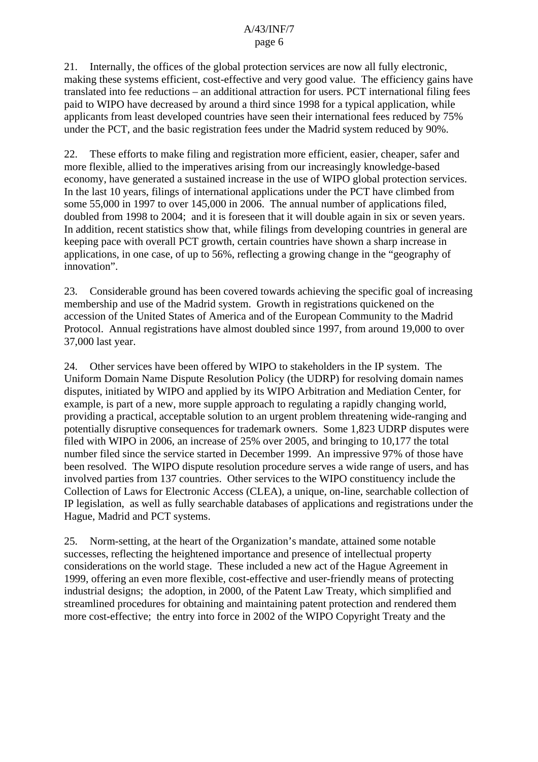21. Internally, the offices of the global protection services are now all fully electronic, making these systems efficient, cost-effective and very good value. The efficiency gains have translated into fee reductions – an additional attraction for users. PCT international filing fees paid to WIPO have decreased by around a third since 1998 for a typical application, while applicants from least developed countries have seen their international fees reduced by 75% under the PCT, and the basic registration fees under the Madrid system reduced by 90%.

22. These efforts to make filing and registration more efficient, easier, cheaper, safer and more flexible, allied to the imperatives arising from our increasingly knowledge-based economy, have generated a sustained increase in the use of WIPO global protection services. In the last 10 years, filings of international applications under the PCT have climbed from some 55,000 in 1997 to over 145,000 in 2006. The annual number of applications filed, doubled from 1998 to 2004; and it is foreseen that it will double again in six or seven years. In addition, recent statistics show that, while filings from developing countries in general are keeping pace with overall PCT growth, certain countries have shown a sharp increase in applications, in one case, of up to 56%, reflecting a growing change in the "geography of innovation".

23. Considerable ground has been covered towards achieving the specific goal of increasing membership and use of the Madrid system. Growth in registrations quickened on the accession of the United States of America and of the European Community to the Madrid Protocol. Annual registrations have almost doubled since 1997, from around 19,000 to over 37,000 last year.

24. Other services have been offered by WIPO to stakeholders in the IP system. The Uniform Domain Name Dispute Resolution Policy (the UDRP) for resolving domain names disputes, initiated by WIPO and applied by its WIPO Arbitration and Mediation Center, for example, is part of a new, more supple approach to regulating a rapidly changing world, providing a practical, acceptable solution to an urgent problem threatening wide-ranging and potentially disruptive consequences for trademark owners. Some 1,823 UDRP disputes were filed with WIPO in 2006, an increase of 25% over 2005, and bringing to 10,177 the total number filed since the service started in December 1999. An impressive 97% of those have been resolved. The WIPO dispute resolution procedure serves a wide range of users, and has involved parties from 137 countries. Other services to the WIPO constituency include the Collection of Laws for Electronic Access (CLEA), a unique, on-line, searchable collection of IP legislation, as well as fully searchable databases of applications and registrations under the Hague, Madrid and PCT systems.

25. Norm-setting, at the heart of the Organization's mandate, attained some notable successes, reflecting the heightened importance and presence of intellectual property considerations on the world stage. These included a new act of the Hague Agreement in 1999, offering an even more flexible, cost-effective and user-friendly means of protecting industrial designs; the adoption, in 2000, of the Patent Law Treaty, which simplified and streamlined procedures for obtaining and maintaining patent protection and rendered them more cost-effective; the entry into force in 2002 of the WIPO Copyright Treaty and the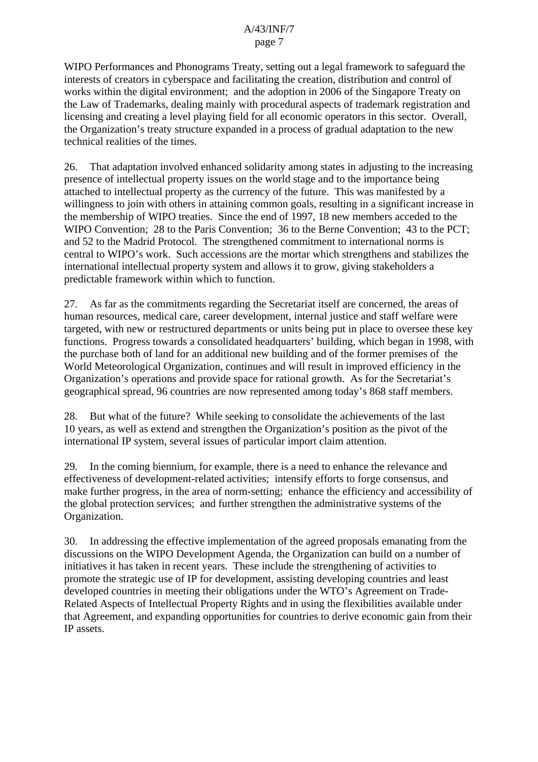WIPO Performances and Phonograms Treaty, setting out a legal framework to safeguard the interests of creators in cyberspace and facilitating the creation, distribution and control of works within the digital environment; and the adoption in 2006 of the Singapore Treaty on the Law of Trademarks, dealing mainly with procedural aspects of trademark registration and licensing and creating a level playing field for all economic operators in this sector. Overall, the Organization's treaty structure expanded in a process of gradual adaptation to the new technical realities of the times.

26. That adaptation involved enhanced solidarity among states in adjusting to the increasing presence of intellectual property issues on the world stage and to the importance being attached to intellectual property as the currency of the future. This was manifested by a willingness to join with others in attaining common goals, resulting in a significant increase in the membership of WIPO treaties. Since the end of 1997, 18 new members acceded to the WIPO Convention; 28 to the Paris Convention; 36 to the Berne Convention; 43 to the PCT; and 52 to the Madrid Protocol. The strengthened commitment to international norms is central to WIPO's work. Such accessions are the mortar which strengthens and stabilizes the international intellectual property system and allows it to grow, giving stakeholders a predictable framework within which to function.

27. As far as the commitments regarding the Secretariat itself are concerned, the areas of human resources, medical care, career development, internal justice and staff welfare were targeted, with new or restructured departments or units being put in place to oversee these key functions. Progress towards a consolidated headquarters' building, which began in 1998, with the purchase both of land for an additional new building and of the former premises of the World Meteorological Organization, continues and will result in improved efficiency in the Organization's operations and provide space for rational growth. As for the Secretariat's geographical spread, 96 countries are now represented among today's 868 staff members.

28. But what of the future? While seeking to consolidate the achievements of the last 10 years, as well as extend and strengthen the Organization's position as the pivot of the international IP system, several issues of particular import claim attention.

29. In the coming biennium, for example, there is a need to enhance the relevance and effectiveness of development-related activities; intensify efforts to forge consensus, and make further progress, in the area of norm-setting; enhance the efficiency and accessibility of the global protection services; and further strengthen the administrative systems of the Organization.

30. In addressing the effective implementation of the agreed proposals emanating from the discussions on the WIPO Development Agenda, the Organization can build on a number of initiatives it has taken in recent years. These include the strengthening of activities to promote the strategic use of IP for development, assisting developing countries and least developed countries in meeting their obligations under the WTO's Agreement on Trade-Related Aspects of Intellectual Property Rights and in using the flexibilities available under that Agreement, and expanding opportunities for countries to derive economic gain from their IP assets.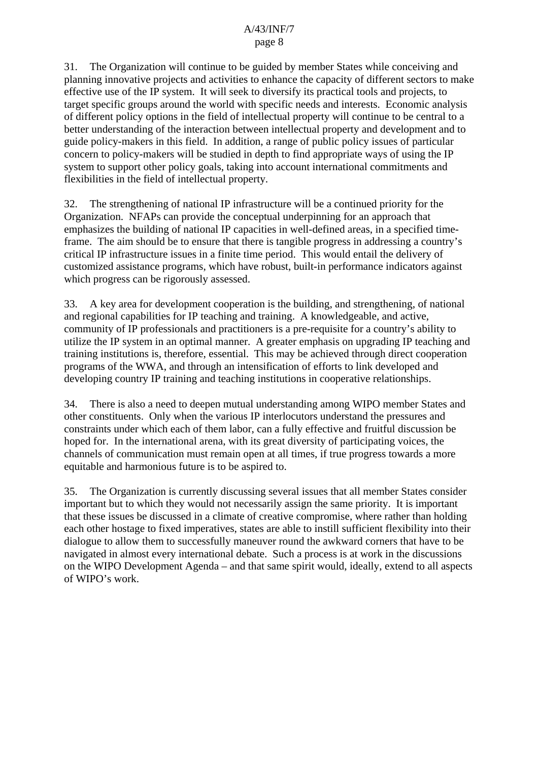31. The Organization will continue to be guided by member States while conceiving and planning innovative projects and activities to enhance the capacity of different sectors to make effective use of the IP system. It will seek to diversify its practical tools and projects, to target specific groups around the world with specific needs and interests. Economic analysis of different policy options in the field of intellectual property will continue to be central to a better understanding of the interaction between intellectual property and development and to guide policy-makers in this field. In addition, a range of public policy issues of particular concern to policy-makers will be studied in depth to find appropriate ways of using the IP system to support other policy goals, taking into account international commitments and flexibilities in the field of intellectual property.

32. The strengthening of national IP infrastructure will be a continued priority for the Organization. NFAPs can provide the conceptual underpinning for an approach that emphasizes the building of national IP capacities in well-defined areas, in a specified timeframe. The aim should be to ensure that there is tangible progress in addressing a country's critical IP infrastructure issues in a finite time period. This would entail the delivery of customized assistance programs, which have robust, built-in performance indicators against which progress can be rigorously assessed.

33. A key area for development cooperation is the building, and strengthening, of national and regional capabilities for IP teaching and training. A knowledgeable, and active, community of IP professionals and practitioners is a pre-requisite for a country's ability to utilize the IP system in an optimal manner. A greater emphasis on upgrading IP teaching and training institutions is, therefore, essential. This may be achieved through direct cooperation programs of the WWA, and through an intensification of efforts to link developed and developing country IP training and teaching institutions in cooperative relationships.

34. There is also a need to deepen mutual understanding among WIPO member States and other constituents. Only when the various IP interlocutors understand the pressures and constraints under which each of them labor, can a fully effective and fruitful discussion be hoped for. In the international arena, with its great diversity of participating voices, the channels of communication must remain open at all times, if true progress towards a more equitable and harmonious future is to be aspired to.

35. The Organization is currently discussing several issues that all member States consider important but to which they would not necessarily assign the same priority. It is important that these issues be discussed in a climate of creative compromise, where rather than holding each other hostage to fixed imperatives, states are able to instill sufficient flexibility into their dialogue to allow them to successfully maneuver round the awkward corners that have to be navigated in almost every international debate. Such a process is at work in the discussions on the WIPO Development Agenda – and that same spirit would, ideally, extend to all aspects of WIPO's work.